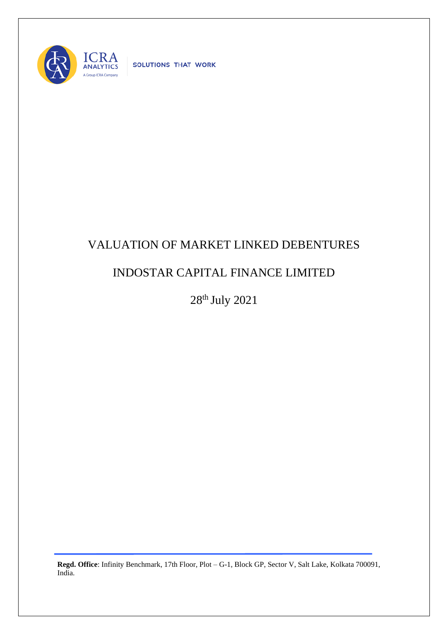

SOLUTIONS THAT WORK

## VALUATION OF MARKET LINKED DEBENTURES

## INDOSTAR CAPITAL FINANCE LIMITED

28 th July 2021

**Regd. Office**: Infinity Benchmark, 17th Floor, Plot – G-1, Block GP, Sector V, Salt Lake, Kolkata 700091, India.